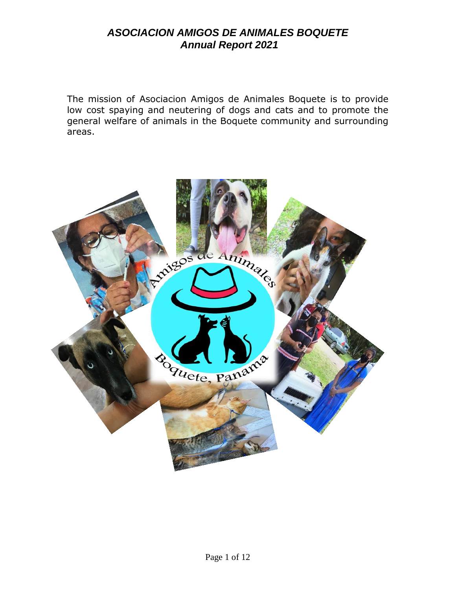The mission of Asociacion Amigos de Animales Boquete is to provide low cost spaying and neutering of dogs and cats and to promote the general welfare of animals in the Boquete community and surrounding areas.

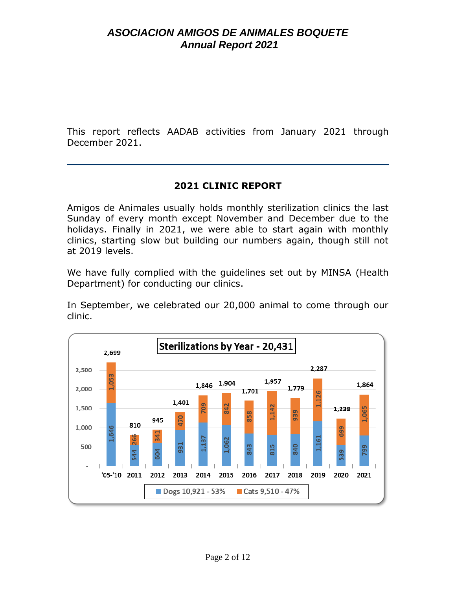This report reflects AADAB activities from January 2021 through December 2021.

### **2021 CLINIC REPORT**

Amigos de Animales usually holds monthly sterilization clinics the last Sunday of every month except November and December due to the holidays. Finally in 2021, we were able to start again with monthly clinics, starting slow but building our numbers again, though still not at 2019 levels.

We have fully complied with the guidelines set out by MINSA (Health Department) for conducting our clinics.

In September, we celebrated our 20,000 animal to come through our clinic.

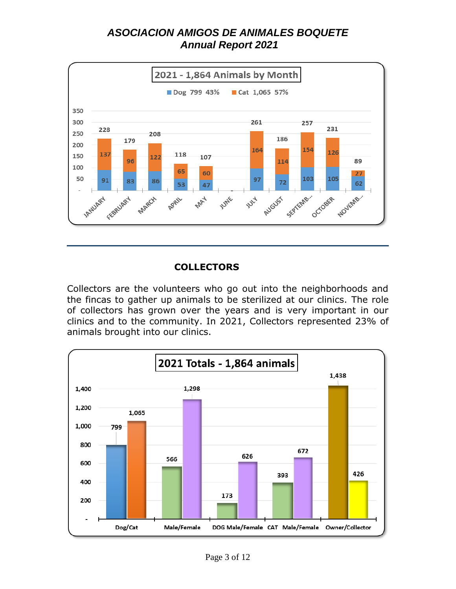

### **COLLECTORS**

Collectors are the volunteers who go out into the neighborhoods and the fincas to gather up animals to be sterilized at our clinics. The role of collectors has grown over the years and is very important in our clinics and to the community. In 2021, Collectors represented 23% of animals brought into our clinics.

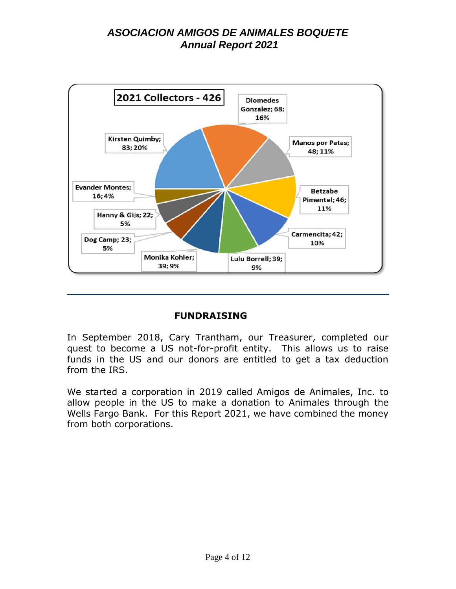

### **FUNDRAISING**

In September 2018, Cary Trantham, our Treasurer, completed our quest to become a US not-for-profit entity. This allows us to raise funds in the US and our donors are entitled to get a tax deduction from the IRS.

We started a corporation in 2019 called Amigos de Animales, Inc. to allow people in the US to make a donation to Animales through the Wells Fargo Bank. For this Report 2021, we have combined the money from both corporations.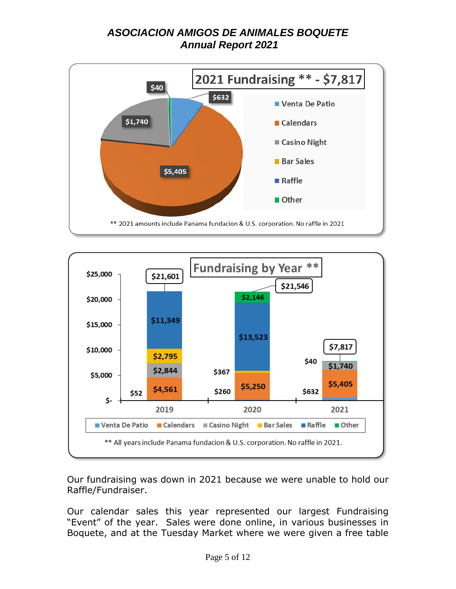



Our fundraising was down in 2021 because we were unable to hold our Raffle/Fundraiser.

Our calendar sales this year represented our largest Fundraising "Event" of the year. Sales were done online, in various businesses in Boquete, and at the Tuesday Market where we were given a free table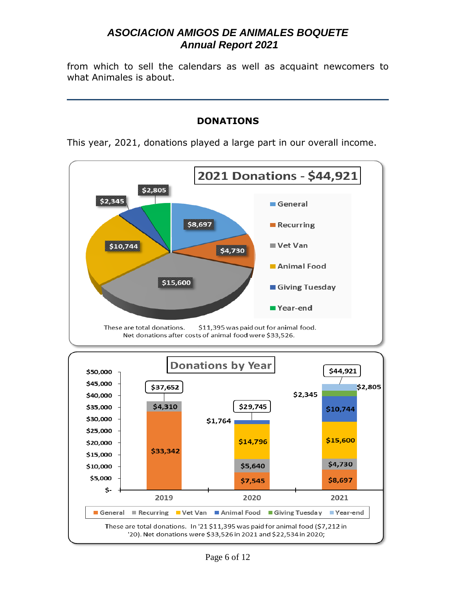from which to sell the calendars as well as acquaint newcomers to what Animales is about.

### **DONATIONS**

This year, 2021, donations played a large part in our overall income.

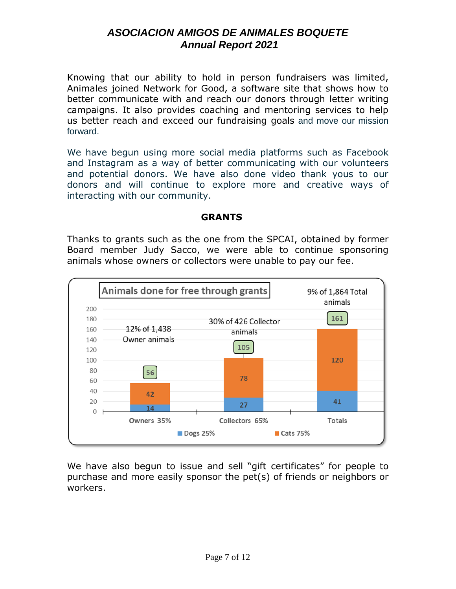Knowing that our ability to hold in person fundraisers was limited, Animales joined Network for Good, a software site that shows how to better communicate with and reach our donors through letter writing campaigns. It also provides coaching and mentoring services to help us better reach and exceed our fundraising goals and move our mission forward.

We have begun using more social media platforms such as Facebook and Instagram as a way of better communicating with our volunteers and potential donors. We have also done video thank yous to our donors and will continue to explore more and creative ways of interacting with our community.

#### **GRANTS**

Thanks to grants such as the one from the SPCAI, obtained by former Board member Judy Sacco, we were able to continue sponsoring animals whose owners or collectors were unable to pay our fee.



We have also begun to issue and sell "gift certificates" for people to purchase and more easily sponsor the pet(s) of friends or neighbors or workers.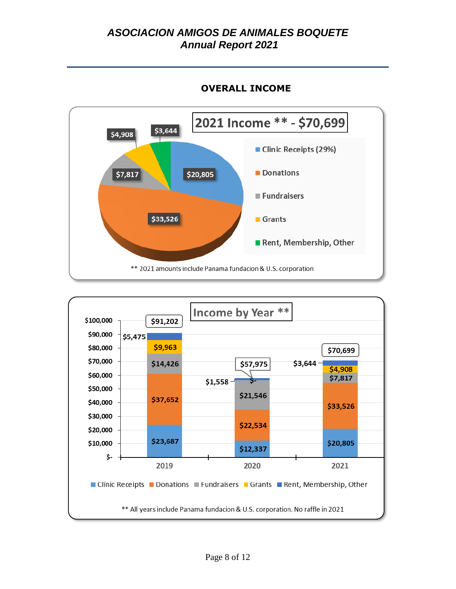

#### **OVERALL INCOME**

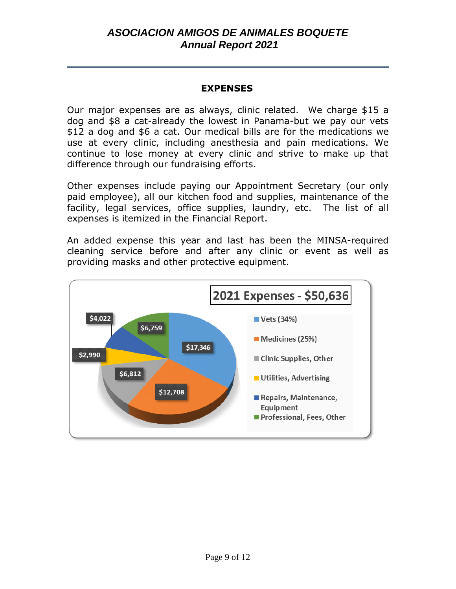#### **EXPENSES**

Our major expenses are as always, clinic related. We charge \$15 a dog and \$8 a cat-already the lowest in Panama-but we pay our vets \$12 a dog and \$6 a cat. Our medical bills are for the medications we use at every clinic, including anesthesia and pain medications. We continue to lose money at every clinic and strive to make up that difference through our fundraising efforts.

Other expenses include paying our Appointment Secretary (our only paid employee), all our kitchen food and supplies, maintenance of the facility, legal services, office supplies, laundry, etc. The list of all expenses is itemized in the Financial Report.

An added expense this year and last has been the MINSA-required cleaning service before and after any clinic or event as well as providing masks and other protective equipment.

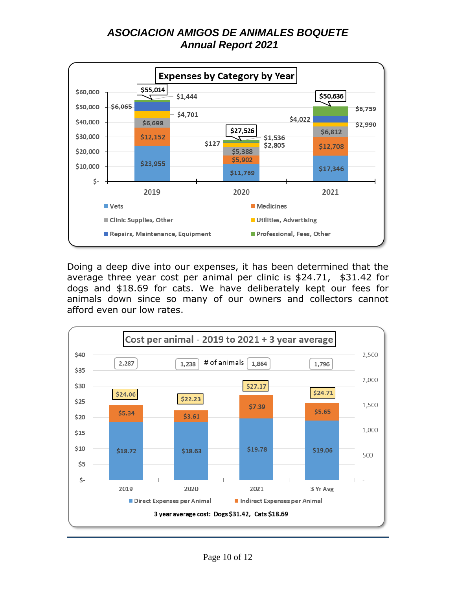

Doing a deep dive into our expenses, it has been determined that the average three year cost per animal per clinic is \$24.71, \$31.42 for dogs and \$18.69 for cats. We have deliberately kept our fees for animals down since so many of our owners and collectors cannot afford even our low rates.

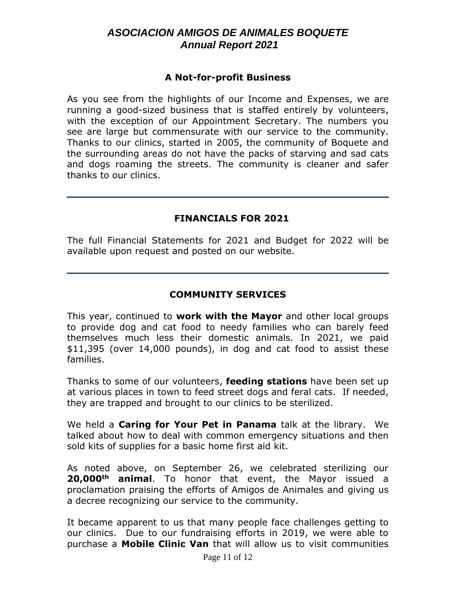#### **A Not-for-profit Business**

As you see from the highlights of our Income and Expenses, we are running a good-sized business that is staffed entirely by volunteers, with the exception of our Appointment Secretary. The numbers you see are large but commensurate with our service to the community. Thanks to our clinics, started in 2005, the community of Boquete and the surrounding areas do not have the packs of starving and sad cats and dogs roaming the streets. The community is cleaner and safer thanks to our clinics.

### **FINANCIALS FOR 2021**

The full Financial Statements for 2021 and Budget for 2022 will be available upon request and posted on our website.

### **COMMUNITY SERVICES**

This year, continued to **work with the Mayor** and other local groups to provide dog and cat food to needy families who can barely feed themselves much less their domestic animals. In 2021, we paid \$11,395 (over 14,000 pounds), in dog and cat food to assist these families.

Thanks to some of our volunteers, **feeding stations** have been set up at various places in town to feed street dogs and feral cats. If needed, they are trapped and brought to our clinics to be sterilized.

We held a **Caring for Your Pet in Panama** talk at the library. We talked about how to deal with common emergency situations and then sold kits of supplies for a basic home first aid kit.

As noted above, on September 26, we celebrated sterilizing our **20,000th animal**. To honor that event, the Mayor issued a proclamation praising the efforts of Amigos de Animales and giving us a decree recognizing our service to the community.

It became apparent to us that many people face challenges getting to our clinics. Due to our fundraising efforts in 2019, we were able to purchase a **Mobile Clinic Van** that will allow us to visit communities